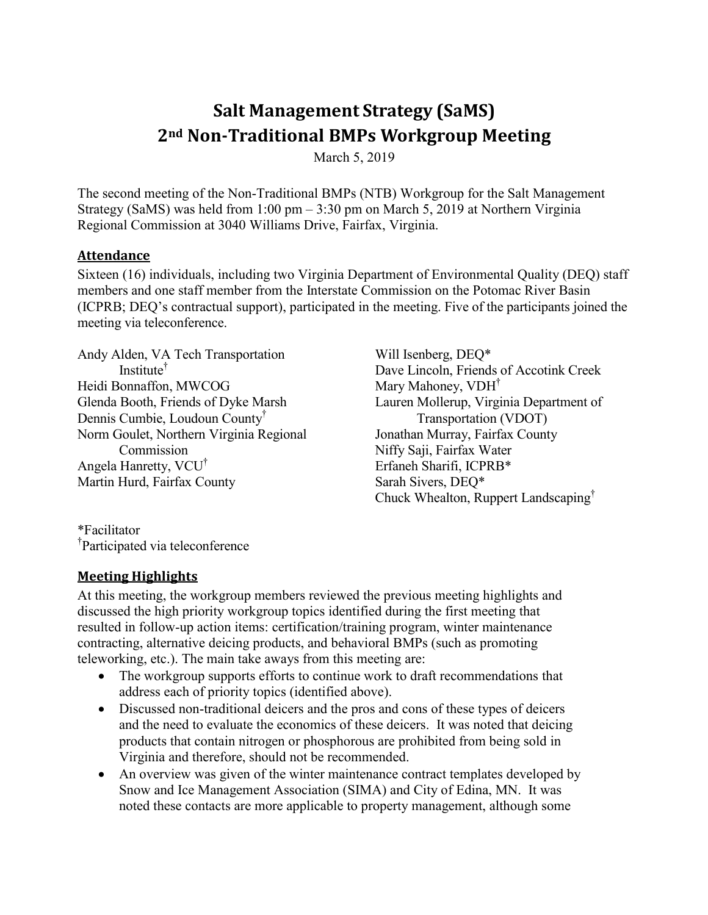# **Salt Management Strategy (SaMS) 2nd Non-Traditional BMPs Workgroup Meeting**

March 5, 2019

The second meeting of the Non-Traditional BMPs (NTB) Workgroup for the Salt Management Strategy (SaMS) was held from 1:00 pm – 3:30 pm on March 5, 2019 at Northern Virginia Regional Commission at 3040 Williams Drive, Fairfax, Virginia.

#### **Attendance**

Sixteen (16) individuals, including two Virginia Department of Environmental Quality (DEQ) staff members and one staff member from the Interstate Commission on the Potomac River Basin (ICPRB; DEQ's contractual support), participated in the meeting. Five of the participants joined the meeting via teleconference.

Andy Alden, VA Tech Transportation Institute † Heidi Bonnaffon, MWCOG Glenda Booth, Friends of Dyke Marsh Dennis Cumbie, Loudoun County† Norm Goulet, Northern Virginia Regional Commission Angela Hanretty, VCU† Martin Hurd, Fairfax County

Will Isenberg, DEQ\* Dave Lincoln, Friends of Accotink Creek Mary Mahoney, VDH<sup>T</sup> Lauren Mollerup, Virginia Department of Transportation (VDOT) Jonathan Murray, Fairfax County Niffy Saji, Fairfax Water Erfaneh Sharifi, ICPRB\* Sarah Sivers, DEQ\* Chuck Whealton, Ruppert Landscaping†

\*Facilitator † Participated via teleconference

#### **Meeting Highlights**

At this meeting, the workgroup members reviewed the previous meeting highlights and discussed the high priority workgroup topics identified during the first meeting that resulted in follow-up action items: certification/training program, winter maintenance contracting, alternative deicing products, and behavioral BMPs (such as promoting teleworking, etc.). The main take aways from this meeting are:

- The workgroup supports efforts to continue work to draft recommendations that address each of priority topics (identified above).
- Discussed non-traditional deicers and the pros and cons of these types of deicers and the need to evaluate the economics of these deicers. It was noted that deicing products that contain nitrogen or phosphorous are prohibited from being sold in Virginia and therefore, should not be recommended.
- An overview was given of the winter maintenance contract templates developed by Snow and Ice Management Association (SIMA) and City of Edina, MN. It was noted these contacts are more applicable to property management, although some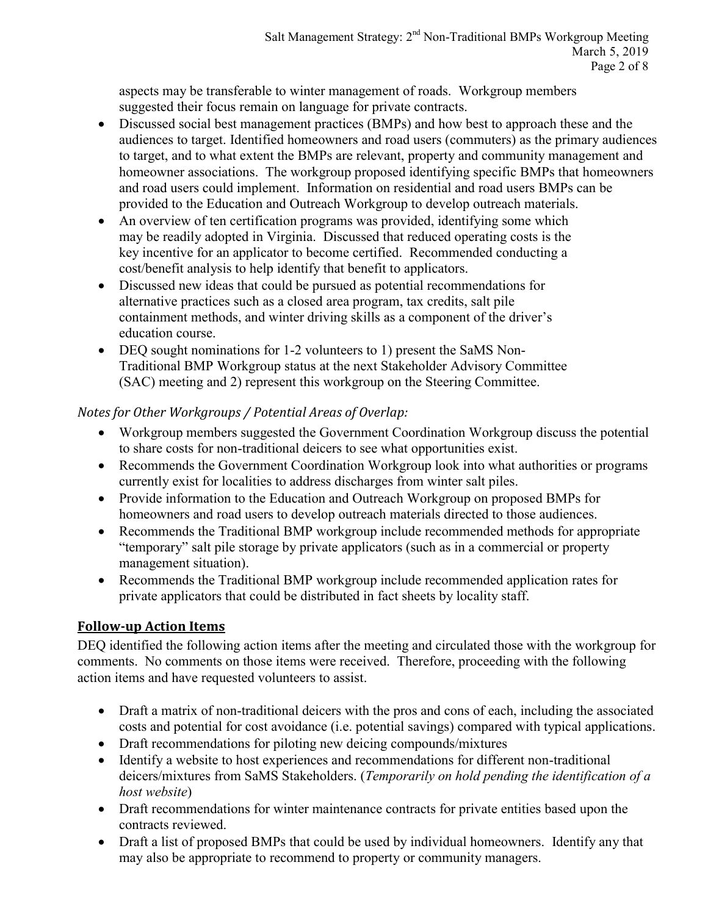aspects may be transferable to winter management of roads. Workgroup members suggested their focus remain on language for private contracts.

- Discussed social best management practices (BMPs) and how best to approach these and the audiences to target. Identified homeowners and road users (commuters) as the primary audiences to target, and to what extent the BMPs are relevant, property and community management and homeowner associations. The workgroup proposed identifying specific BMPs that homeowners and road users could implement. Information on residential and road users BMPs can be provided to the Education and Outreach Workgroup to develop outreach materials.
- An overview of ten certification programs was provided, identifying some which may be readily adopted in Virginia. Discussed that reduced operating costs is the key incentive for an applicator to become certified. Recommended conducting a cost/benefit analysis to help identify that benefit to applicators.
- Discussed new ideas that could be pursued as potential recommendations for alternative practices such as a closed area program, tax credits, salt pile containment methods, and winter driving skills as a component of the driver's education course.
- DEQ sought nominations for 1-2 volunteers to 1) present the SaMS Non-Traditional BMP Workgroup status at the next Stakeholder Advisory Committee (SAC) meeting and 2) represent this workgroup on the Steering Committee.

## *Notes for Other Workgroups / Potential Areas of Overlap:*

- Workgroup members suggested the Government Coordination Workgroup discuss the potential to share costs for non-traditional deicers to see what opportunities exist.
- Recommends the Government Coordination Workgroup look into what authorities or programs currently exist for localities to address discharges from winter salt piles.
- Provide information to the Education and Outreach Workgroup on proposed BMPs for homeowners and road users to develop outreach materials directed to those audiences.
- Recommends the Traditional BMP workgroup include recommended methods for appropriate "temporary" salt pile storage by private applicators (such as in a commercial or property management situation).
- Recommends the Traditional BMP workgroup include recommended application rates for private applicators that could be distributed in fact sheets by locality staff.

# **Follow-up Action Items**

DEQ identified the following action items after the meeting and circulated those with the workgroup for comments. No comments on those items were received. Therefore, proceeding with the following action items and have requested volunteers to assist.

- Draft a matrix of non-traditional deicers with the pros and cons of each, including the associated costs and potential for cost avoidance (i.e. potential savings) compared with typical applications.
- Draft recommendations for piloting new deicing compounds/mixtures
- Identify a website to host experiences and recommendations for different non-traditional deicers/mixtures from SaMS Stakeholders. (*Temporarily on hold pending the identification of a host website*)
- Draft recommendations for winter maintenance contracts for private entities based upon the contracts reviewed.
- Draft a list of proposed BMPs that could be used by individual homeowners. Identify any that may also be appropriate to recommend to property or community managers.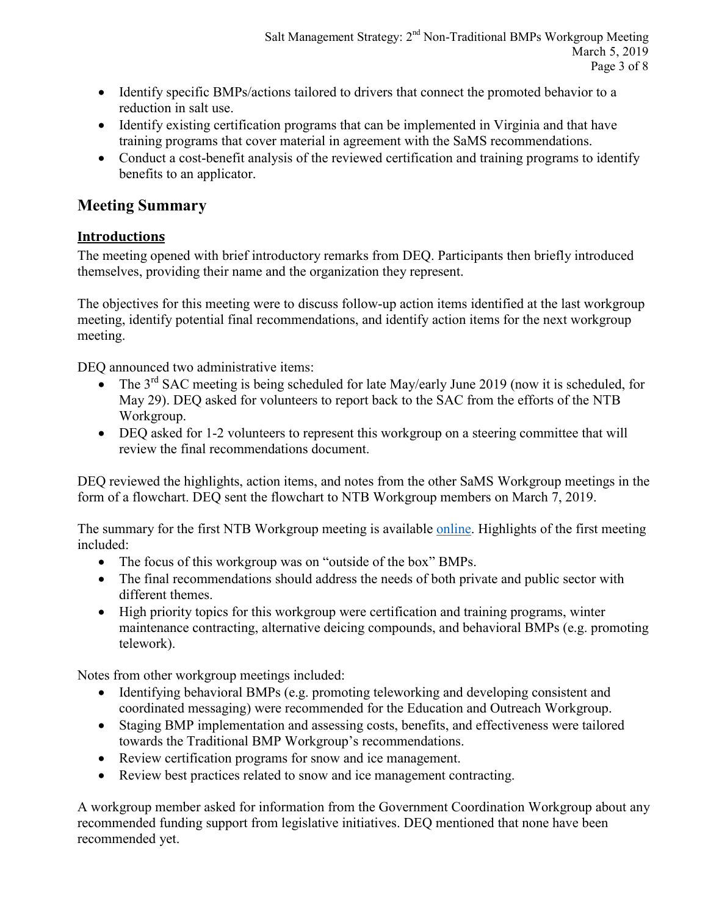- Identify specific BMPs/actions tailored to drivers that connect the promoted behavior to a reduction in salt use.
- Identify existing certification programs that can be implemented in Virginia and that have training programs that cover material in agreement with the SaMS recommendations.
- Conduct a cost-benefit analysis of the reviewed certification and training programs to identify benefits to an applicator.

# **Meeting Summary**

# **Introductions**

The meeting opened with brief introductory remarks from DEQ. Participants then briefly introduced themselves, providing their name and the organization they represent.

The objectives for this meeting were to discuss follow-up action items identified at the last workgroup meeting, identify potential final recommendations, and identify action items for the next workgroup meeting.

DEQ announced two administrative items:

- The  $3<sup>rd</sup>$  SAC meeting is being scheduled for late May/early June 2019 (now it is scheduled, for May 29). DEQ asked for volunteers to report back to the SAC from the efforts of the NTB Workgroup.
- DEQ asked for 1-2 volunteers to represent this workgroup on a steering committee that will review the final recommendations document.

DEQ reviewed the highlights, action items, and notes from the other SaMS Workgroup meetings in the form of a flowchart. DEQ sent the flowchart to NTB Workgroup members on March 7, 2019.

The summary for the first NTB Workgroup meeting is available [online.](https://www.deq.virginia.gov/Portals/0/DEQ/Water/TMDL/SaMS/MeetingMaterials/NTBwg/Meeting1/SaMS_NTB-FinalMtgMinutes_20181024.pdf) Highlights of the first meeting included:

- The focus of this workgroup was on "outside of the box" BMPs.
- The final recommendations should address the needs of both private and public sector with different themes.
- High priority topics for this workgroup were certification and training programs, winter maintenance contracting, alternative deicing compounds, and behavioral BMPs (e.g. promoting telework).

Notes from other workgroup meetings included:

- Identifying behavioral BMPs (e.g. promoting teleworking and developing consistent and coordinated messaging) were recommended for the Education and Outreach Workgroup.
- Staging BMP implementation and assessing costs, benefits, and effectiveness were tailored towards the Traditional BMP Workgroup's recommendations.
- Review certification programs for snow and ice management.
- Review best practices related to snow and ice management contracting.

A workgroup member asked for information from the Government Coordination Workgroup about any recommended funding support from legislative initiatives. DEQ mentioned that none have been recommended yet.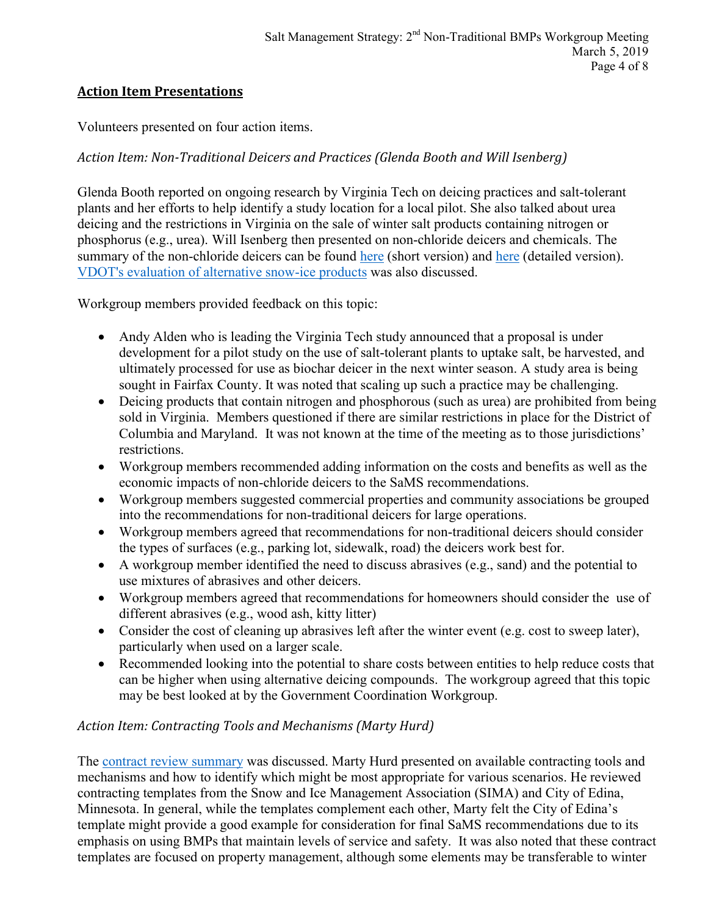#### **Action Item Presentations**

Volunteers presented on four action items.

#### *Action Item: Non-Traditional Deicers and Practices (Glenda Booth and Will Isenberg)*

Glenda Booth reported on ongoing research by Virginia Tech on deicing practices and salt-tolerant plants and her efforts to help identify a study location for a local pilot. She also talked about urea deicing and the restrictions in Virginia on the sale of winter salt products containing nitrogen or phosphorus (e.g., urea). Will Isenberg then presented on non-chloride deicers and chemicals. The summary of the non-chloride deicers can be found [here](https://www.deq.virginia.gov/Portals/0/DEQ/Water/TMDL/SaMS/MeetingMaterials/NTBwg/Meeting2/SaMS_IP_SummaryDocNonTradDeicers-Detailed.pdf) (short version) and here (detailed version). [VDOT's evaluation of alternative snow-ice products](https://www.deq.virginia.gov/Portals/0/DEQ/Water/TMDL/SaMS/MeetingMaterials/NTBwg/Meeting2/SaMS_IP_SummaryDocNonTradDeicers-Detailed.pdf) was also discussed.

Workgroup members provided feedback on this topic:

- Andy Alden who is leading the Virginia Tech study announced that a proposal is under development for a pilot study on the use of salt-tolerant plants to uptake salt, be harvested, and ultimately processed for use as biochar deicer in the next winter season. A study area is being sought in Fairfax County. It was noted that scaling up such a practice may be challenging.
- Deicing products that contain nitrogen and phosphorous (such as urea) are prohibited from being sold in Virginia. Members questioned if there are similar restrictions in place for the District of Columbia and Maryland. It was not known at the time of the meeting as to those jurisdictions' restrictions.
- Workgroup members recommended adding information on the costs and benefits as well as the economic impacts of non-chloride deicers to the SaMS recommendations.
- Workgroup members suggested commercial properties and community associations be grouped into the recommendations for non-traditional deicers for large operations.
- Workgroup members agreed that recommendations for non-traditional deicers should consider the types of surfaces (e.g., parking lot, sidewalk, road) the deicers work best for.
- A workgroup member identified the need to discuss abrasives (e.g., sand) and the potential to use mixtures of abrasives and other deicers.
- Workgroup members agreed that recommendations for homeowners should consider the use of different abrasives (e.g., wood ash, kitty litter)
- Consider the cost of cleaning up abrasives left after the winter event (e.g. cost to sweep later), particularly when used on a larger scale.
- Recommended looking into the potential to share costs between entities to help reduce costs that can be higher when using alternative deicing compounds. The workgroup agreed that this topic may be best looked at by the Government Coordination Workgroup.

#### *Action Item: Contracting Tools and Mechanisms (Marty Hurd)*

The [contract review summary](https://www.deq.virginia.gov/Portals/0/DEQ/Water/TMDL/SaMS/MeetingMaterials/NTBwg/Meeting2/SaMS%20NTB_ContractReview_20190214.pdf) was discussed. Marty Hurd presented on available contracting tools and mechanisms and how to identify which might be most appropriate for various scenarios. He reviewed contracting templates from the Snow and Ice Management Association (SIMA) and City of Edina, Minnesota. In general, while the templates complement each other, Marty felt the City of Edina's template might provide a good example for consideration for final SaMS recommendations due to its emphasis on using BMPs that maintain levels of service and safety. It was also noted that these contract templates are focused on property management, although some elements may be transferable to winter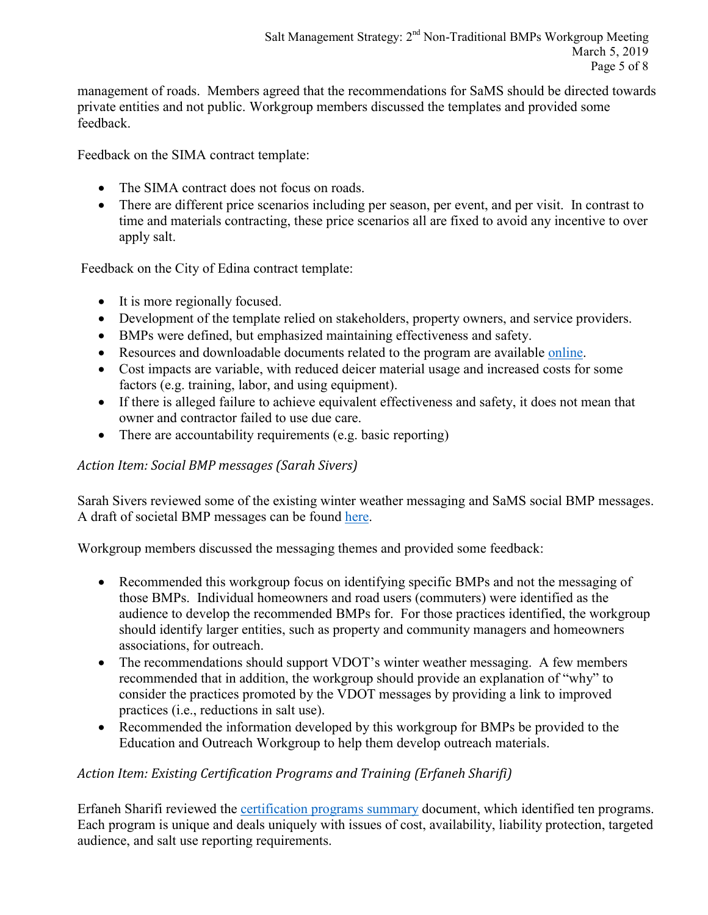management of roads. Members agreed that the recommendations for SaMS should be directed towards private entities and not public. Workgroup members discussed the templates and provided some feedback.

Feedback on the SIMA contract template:

- The SIMA contract does not focus on roads.
- There are different price scenarios including per season, per event, and per visit. In contrast to time and materials contracting, these price scenarios all are fixed to avoid any incentive to over apply salt.

Feedback on the City of Edina contract template:

- It is more regionally focused.
- Development of the template relied on stakeholders, property owners, and service providers.
- BMPs were defined, but emphasized maintaining effectiveness and safety.
- Resources and downloadable documents related to the program are available [online.](https://www.sima.org/resource)
- Cost impacts are variable, with reduced deicer material usage and increased costs for some factors (e.g. training, labor, and using equipment).
- If there is alleged failure to achieve equivalent effectiveness and safety, it does not mean that owner and contractor failed to use due care.
- There are accountability requirements (e.g. basic reporting)

#### *Action Item: Social BMP messages (Sarah Sivers)*

Sarah Sivers reviewed some of the existing winter weather messaging and SaMS social BMP messages. A draft of societal BMP messages can be found [here.](https://www.deq.virginia.gov/Portals/0/DEQ/Water/TMDL/SaMS/MeetingMaterials/NTBwg/Meeting2/SaMS_IP_NTB_SocialBMPs_Draft_201902.pdf)

Workgroup members discussed the messaging themes and provided some feedback:

- Recommended this workgroup focus on identifying specific BMPs and not the messaging of those BMPs. Individual homeowners and road users (commuters) were identified as the audience to develop the recommended BMPs for. For those practices identified, the workgroup should identify larger entities, such as property and community managers and homeowners associations, for outreach.
- The recommendations should support VDOT's winter weather messaging. A few members recommended that in addition, the workgroup should provide an explanation of "why" to consider the practices promoted by the VDOT messages by providing a link to improved practices (i.e., reductions in salt use).
- Recommended the information developed by this workgroup for BMPs be provided to the Education and Outreach Workgroup to help them develop outreach materials.

#### *Action Item: Existing Certification Programs and Training (Erfaneh Sharifi)*

Erfaneh Sharifi reviewed the [certification programs summary](https://www.deq.virginia.gov/Portals/0/DEQ/Water/TMDL/SaMS/MeetingMaterials/NTBwg/Meeting2/SaMS%20NTB_CertPrograms_20190225.pdf) document, which identified ten programs. Each program is unique and deals uniquely with issues of cost, availability, liability protection, targeted audience, and salt use reporting requirements.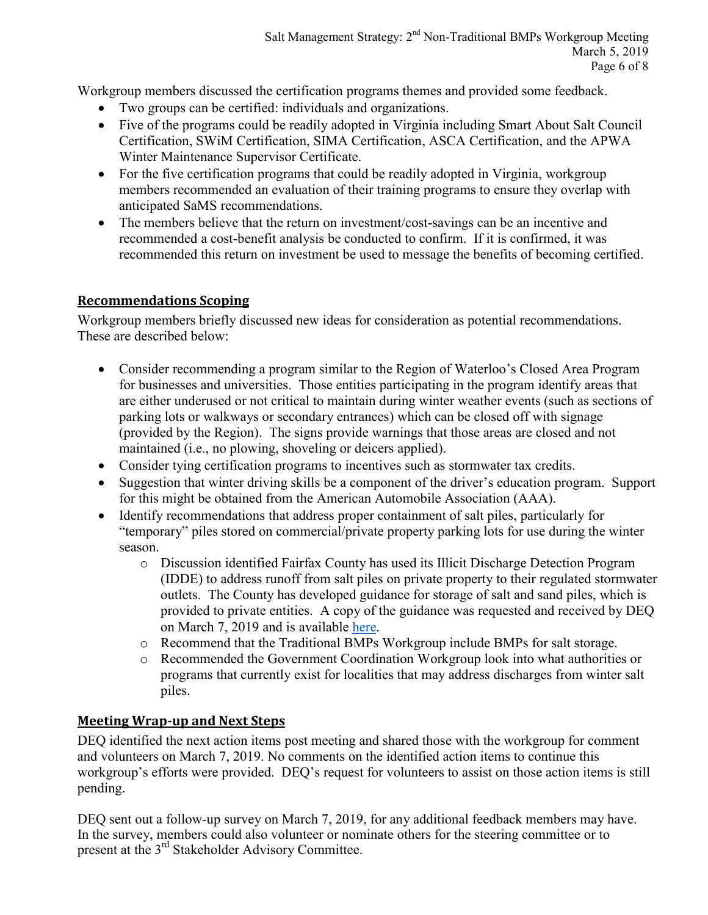Workgroup members discussed the certification programs themes and provided some feedback.

- Two groups can be certified: individuals and organizations.
- Five of the programs could be readily adopted in Virginia including Smart About Salt Council Certification, SWiM Certification, SIMA Certification, ASCA Certification, and the APWA Winter Maintenance Supervisor Certificate.
- For the five certification programs that could be readily adopted in Virginia, workgroup members recommended an evaluation of their training programs to ensure they overlap with anticipated SaMS recommendations.
- The members believe that the return on investment/cost-savings can be an incentive and recommended a cost-benefit analysis be conducted to confirm. If it is confirmed, it was recommended this return on investment be used to message the benefits of becoming certified.

## **Recommendations Scoping**

Workgroup members briefly discussed new ideas for consideration as potential recommendations. These are described below:

- Consider recommending a program similar to the Region of Waterloo's Closed Area Program for businesses and universities. Those entities participating in the program identify areas that are either underused or not critical to maintain during winter weather events (such as sections of parking lots or walkways or secondary entrances) which can be closed off with signage (provided by the Region). The signs provide warnings that those areas are closed and not maintained (i.e., no plowing, shoveling or deicers applied).
- Consider tying certification programs to incentives such as stormwater tax credits.
- Suggestion that winter driving skills be a component of the driver's education program. Support for this might be obtained from the American Automobile Association (AAA).
- Identify recommendations that address proper containment of salt piles, particularly for "temporary" piles stored on commercial/private property parking lots for use during the winter season.
	- o Discussion identified Fairfax County has used its Illicit Discharge Detection Program (IDDE) to address runoff from salt piles on private property to their regulated stormwater outlets. The County has developed guidance for storage of salt and sand piles, which is provided to private entities. A copy of the guidance was requested and received by DEQ on March 7, 2019 and is available [here.](https://www.deq.virginia.gov/Portals/0/DEQ/Water/TMDL/SaMS/MeetingMaterials/TraditionalBMPWG/Meeting2/SaMS_IP_FairfaxCountySaltandSandPilesStorageGuidance.pdf)
	- o Recommend that the Traditional BMPs Workgroup include BMPs for salt storage.
	- o Recommended the Government Coordination Workgroup look into what authorities or programs that currently exist for localities that may address discharges from winter salt piles.

# **Meeting Wrap-up and Next Steps**

DEQ identified the next action items post meeting and shared those with the workgroup for comment and volunteers on March 7, 2019. No comments on the identified action items to continue this workgroup's efforts were provided. DEQ's request for volunteers to assist on those action items is still pending.

DEQ sent out a follow-up survey on March 7, 2019, for any additional feedback members may have. In the survey, members could also volunteer or nominate others for the steering committee or to present at the 3<sup>rd</sup> Stakeholder Advisory Committee.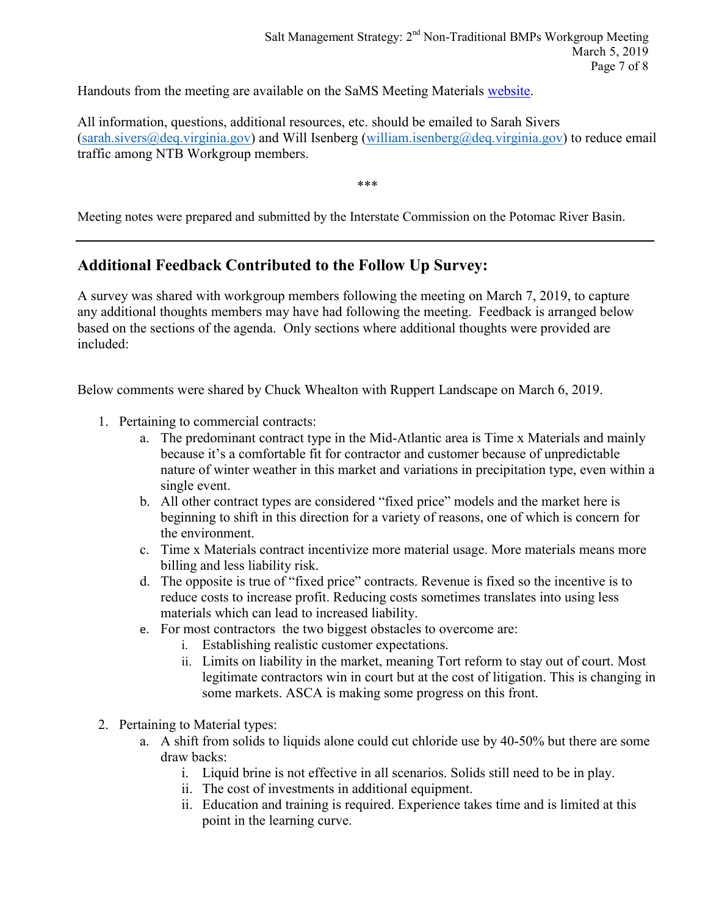Handouts from the meeting are available on the SaMS Meeting Materials [website.](https://www.deq.virginia.gov/SaMS/MeetingMaterials.aspx)

All information, questions, additional resources, etc. should be emailed to Sarah Sivers [\(sarah.sivers@deq.virginia.gov\)](mailto:sarah.sivers@deq.virginia.gov) and Will Isenberg [\(william.isenberg@deq.virginia.gov\)](mailto:william.isenberg@deq.virginia.gov) to reduce email traffic among NTB Workgroup members.

\*\*\*

Meeting notes were prepared and submitted by the Interstate Commission on the Potomac River Basin.

# **Additional Feedback Contributed to the Follow Up Survey:**

A survey was shared with workgroup members following the meeting on March 7, 2019, to capture any additional thoughts members may have had following the meeting. Feedback is arranged below based on the sections of the agenda. Only sections where additional thoughts were provided are included:

Below comments were shared by Chuck Whealton with Ruppert Landscape on March 6, 2019.

- 1. Pertaining to commercial contracts:
	- a. The predominant contract type in the Mid-Atlantic area is Time x Materials and mainly because it's a comfortable fit for contractor and customer because of unpredictable nature of winter weather in this market and variations in precipitation type, even within a single event.
	- b. All other contract types are considered "fixed price" models and the market here is beginning to shift in this direction for a variety of reasons, one of which is concern for the environment.
	- c. Time x Materials contract incentivize more material usage. More materials means more billing and less liability risk.
	- d. The opposite is true of "fixed price" contracts. Revenue is fixed so the incentive is to reduce costs to increase profit. Reducing costs sometimes translates into using less materials which can lead to increased liability.
	- e. For most contractors the two biggest obstacles to overcome are:
		- i. Establishing realistic customer expectations.
		- ii. Limits on liability in the market, meaning Tort reform to stay out of court. Most legitimate contractors win in court but at the cost of litigation. This is changing in some markets. ASCA is making some progress on this front.
- 2. Pertaining to Material types:
	- a. A shift from solids to liquids alone could cut chloride use by 40-50% but there are some draw backs:
		- i. Liquid brine is not effective in all scenarios. Solids still need to be in play.
		- ii. The cost of investments in additional equipment.
		- ii. Education and training is required. Experience takes time and is limited at this point in the learning curve.